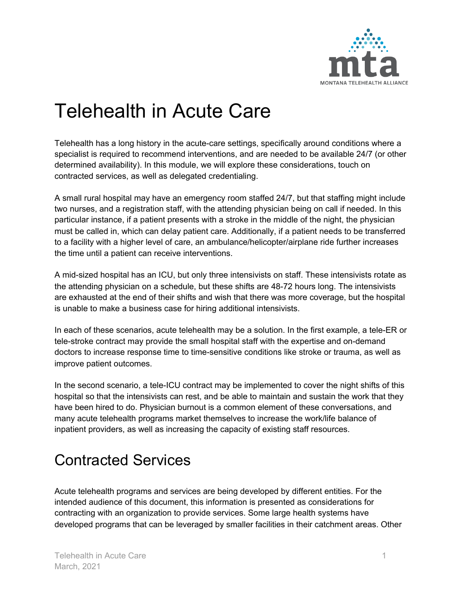

# Telehealth in Acute Care

Telehealth has a long history in the acute-care settings, specifically around conditions where a specialist is required to recommend interventions, and are needed to be available 24/7 (or other determined availability). In this module, we will explore these considerations, touch on contracted services, as well as delegated credentialing.

A small rural hospital may have an emergency room staffed 24/7, but that staffing might include two nurses, and a registration staff, with the attending physician being on call if needed. In this particular instance, if a patient presents with a stroke in the middle of the night, the physician must be called in, which can delay patient care. Additionally, if a patient needs to be transferred to a facility with a higher level of care, an ambulance/helicopter/airplane ride further increases the time until a patient can receive interventions.

A mid-sized hospital has an ICU, but only three intensivists on staff. These intensivists rotate as the attending physician on a schedule, but these shifts are 48-72 hours long. The intensivists are exhausted at the end of their shifts and wish that there was more coverage, but the hospital is unable to make a business case for hiring additional intensivists.

In each of these scenarios, acute telehealth may be a solution. In the first example, a tele-ER or tele-stroke contract may provide the small hospital staff with the expertise and on-demand doctors to increase response time to time-sensitive conditions like stroke or trauma, as well as improve patient outcomes.

In the second scenario, a tele-ICU contract may be implemented to cover the night shifts of this hospital so that the intensivists can rest, and be able to maintain and sustain the work that they have been hired to do. Physician burnout is a common element of these conversations, and many acute telehealth programs market themselves to increase the work/life balance of inpatient providers, as well as increasing the capacity of existing staff resources.

## Contracted Services

Acute telehealth programs and services are being developed by different entities. For the intended audience of this document, this information is presented as considerations for contracting with an organization to provide services. Some large health systems have developed programs that can be leveraged by smaller facilities in their catchment areas. Other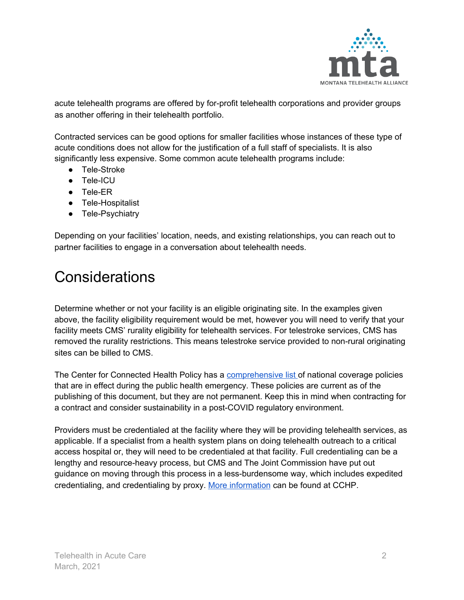

acute telehealth programs are offered by for-profit telehealth corporations and provider groups as another offering in their telehealth portfolio.

Contracted services can be good options for smaller facilities whose instances of these type of acute conditions does not allow for the justification of a full staff of specialists. It is also significantly less expensive. Some common acute telehealth programs include:

- Tele-Stroke
- Tele-ICU
- Tele-ER
- Tele-Hospitalist
- Tele-Psychiatry

Depending on your facilities' location, needs, and existing relationships, you can reach out to partner facilities to engage in a conversation about telehealth needs.

### Considerations

Determine whether or not your facility is an eligible originating site. In the examples given above, the facility eligibility requirement would be met, however you will need to verify that your facility meets CMS' rurality eligibility for telehealth services. For telestroke services, CMS has removed the rurality restrictions. This means telestroke service provided to non-rural originating sites can be billed to CMS.

The Center for Connected Health Policy has a **[comprehensive](https://www.cchpca.org/resources/covid-19-telehealth-coverage-policies) list** of national coverage policies that are in effect during the public health emergency. These policies are current as of the publishing of this document, but they are not permanent. Keep this in mind when contracting for a contract and consider sustainability in a post-COVID regulatory environment.

Providers must be credentialed at the facility where they will be providing telehealth services, as applicable. If a specialist from a health system plans on doing telehealth outreach to a critical access hospital or, they will need to be credentialed at that facility. Full credentialing can be a lengthy and resource-heavy process, but CMS and The Joint Commission have put out guidance on moving through this process in a less-burdensome way, which includes expedited credentialing, and credentialing by proxy. More [information](https://www.cchpca.org/telehealth-policy/credentialing-and-privileging) can be found at CCHP.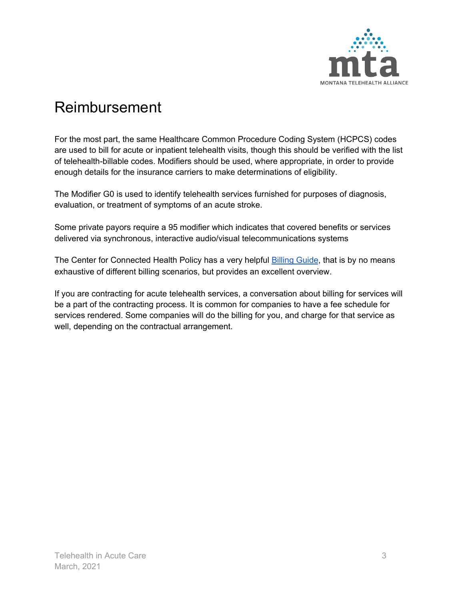

#### Reimbursement

For the most part, the same Healthcare Common Procedure Coding System (HCPCS) codes are used to bill for acute or inpatient telehealth visits, though this should be verified with the list of telehealth-billable codes. Modifiers should be used, where appropriate, in order to provide enough details for the insurance carriers to make determinations of eligibility.

The Modifier G0 is used to identify telehealth services furnished for purposes of diagnosis, evaluation, or treatment of symptoms of an acute stroke.

Some private payors require a 95 modifier which indicates that covered benefits or services delivered via synchronous, interactive audio/visual telecommunications systems

The Center for Connected Health Policy has a very helpful [Billing](https://www.cchpca.org/sites/default/files/2020-01/Billing%20Guide%20for%20Telehealth%20Encounters_FINAL.pdf) Guide, that is by no means exhaustive of different billing scenarios, but provides an excellent overview.

If you are contracting for acute telehealth services, a conversation about billing for services will be a part of the contracting process. It is common for companies to have a fee schedule for services rendered. Some companies will do the billing for you, and charge for that service as well, depending on the contractual arrangement.